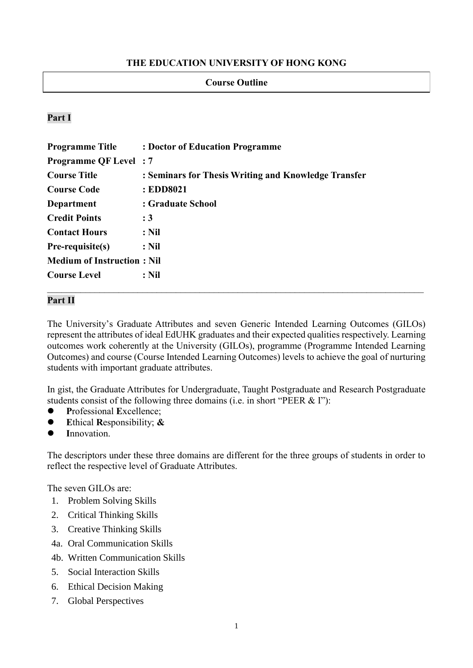# **THE EDUCATION UNIVERSITY OF HONG KONG**

#### **Course Outline**

# **Part I**

| : Doctor of Education Programme                      |
|------------------------------------------------------|
| <b>Programme QF Level</b> : 7                        |
| : Seminars for Thesis Writing and Knowledge Transfer |
| : EDD8021                                            |
| : Graduate School                                    |
| : 3                                                  |
| : Nil                                                |
| : Nil                                                |
| <b>Medium of Instruction: Nil</b>                    |
| : Nil                                                |
|                                                      |

### **Part II**

The University's Graduate Attributes and seven Generic Intended Learning Outcomes (GILOs) represent the attributes of ideal EdUHK graduates and their expected qualities respectively. Learning outcomes work coherently at the University (GILOs), programme (Programme Intended Learning Outcomes) and course (Course Intended Learning Outcomes) levels to achieve the goal of nurturing students with important graduate attributes.

In gist, the Graduate Attributes for Undergraduate, Taught Postgraduate and Research Postgraduate students consist of the following three domains (i.e. in short "PEER & I"):

- ⚫ **P**rofessional **E**xcellence;
- ⚫ **E**thical **R**esponsibility; **&**
- ⚫ **I**nnovation.

The descriptors under these three domains are different for the three groups of students in order to reflect the respective level of Graduate Attributes.

The seven GILOs are:

- 1. Problem Solving Skills
- 2. Critical Thinking Skills
- 3. Creative Thinking Skills
- 4a. Oral Communication Skills
- 4b. Written Communication Skills
- 5. Social Interaction Skills
- 6. Ethical Decision Making
- 7. Global Perspectives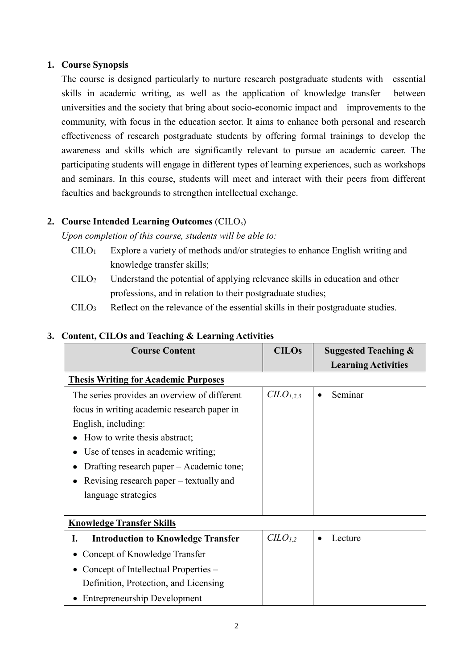# **1. Course Synopsis**

The course is designed particularly to nurture research postgraduate students with essential skills in academic writing, as well as the application of knowledge transfer between universities and the society that bring about socio-economic impact and improvements to the community, with focus in the education sector. It aims to enhance both personal and research effectiveness of research postgraduate students by offering formal trainings to develop the awareness and skills which are significantly relevant to pursue an academic career. The participating students will engage in different types of learning experiences, such as workshops and seminars. In this course, students will meet and interact with their peers from different faculties and backgrounds to strengthen intellectual exchange.

# **2. Course Intended Learning Outcomes** (CILOs)

*Upon completion of this course, students will be able to:*

- $C I L O<sub>1</sub>$  Explore a variety of methods and/or strategies to enhance English writing and knowledge transfer skills;
- CILO<sup>2</sup> Understand the potential of applying relevance skills in education and other professions, and in relation to their postgraduate studies;
- $\text{CILO}_3$  Reflect on the relevance of the essential skills in their postgraduate studies.

## **3. Content, CILOs and Teaching & Learning Activities**

| <b>Course Content</b>                           | <b>CILOs</b>       | <b>Suggested Teaching &amp;</b> |
|-------------------------------------------------|--------------------|---------------------------------|
|                                                 |                    | <b>Learning Activities</b>      |
| <b>Thesis Writing for Academic Purposes</b>     |                    |                                 |
| The series provides an overview of different    | $CLO_{1,2,3}$      | Seminar<br>$\bullet$            |
| focus in writing academic research paper in     |                    |                                 |
| English, including:                             |                    |                                 |
| How to write thesis abstract;                   |                    |                                 |
| Use of tenses in academic writing;              |                    |                                 |
| Drafting research paper – Academic tone;        |                    |                                 |
| Revising research paper – textually and         |                    |                                 |
| language strategies                             |                    |                                 |
|                                                 |                    |                                 |
| <b>Knowledge Transfer Skills</b>                |                    |                                 |
| <b>Introduction to Knowledge Transfer</b><br>I. | CLO <sub>1,2</sub> | Lecture                         |
| Concept of Knowledge Transfer                   |                    |                                 |
| Concept of Intellectual Properties –            |                    |                                 |
| Definition, Protection, and Licensing           |                    |                                 |
| <b>Entrepreneurship Development</b>             |                    |                                 |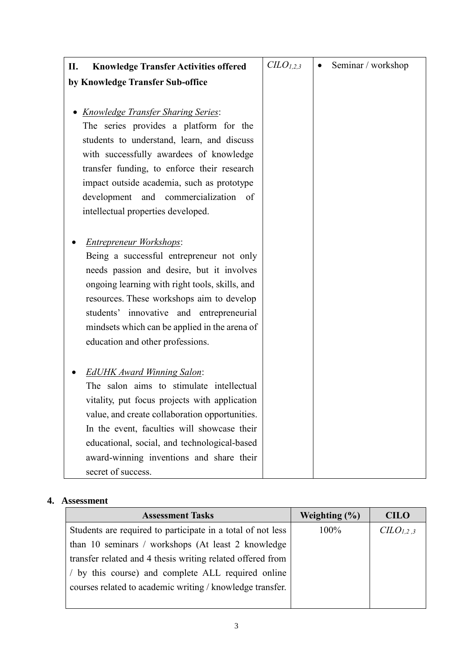| II.<br><b>Knowledge Transfer Activities offered</b>                                                                                                                                                                                                                                                                                                     | $CLO_{1,2,3}$ | Seminar / workshop |
|---------------------------------------------------------------------------------------------------------------------------------------------------------------------------------------------------------------------------------------------------------------------------------------------------------------------------------------------------------|---------------|--------------------|
| by Knowledge Transfer Sub-office                                                                                                                                                                                                                                                                                                                        |               |                    |
|                                                                                                                                                                                                                                                                                                                                                         |               |                    |
| <b>Knowledge Transfer Sharing Series:</b><br>The series provides a platform for the<br>students to understand, learn, and discuss<br>with successfully awardees of knowledge<br>transfer funding, to enforce their research<br>impact outside academia, such as prototype<br>development and commercialization of<br>intellectual properties developed. |               |                    |
| Entrepreneur Workshops:<br>Being a successful entrepreneur not only<br>needs passion and desire, but it involves<br>ongoing learning with right tools, skills, and<br>resources. These workshops aim to develop<br>students' innovative and entrepreneurial<br>mindsets which can be applied in the arena of<br>education and other professions.        |               |                    |
| <b>EdUHK Award Winning Salon:</b><br>The salon aims to stimulate intellectual<br>vitality, put focus projects with application<br>value, and create collaboration opportunities.<br>In the event, faculties will showcase their<br>educational, social, and technological-based<br>award-winning inventions and share their<br>secret of success.       |               |                    |

# **4. Assessment**

| <b>Assessment Tasks</b>                                     | Weighting $(\% )$ | <b>CILO</b>                       |
|-------------------------------------------------------------|-------------------|-----------------------------------|
| Students are required to participate in a total of not less | 100%              | C <sub>L</sub> O <sub>L,2,3</sub> |
| than 10 seminars / workshops (At least 2 knowledge)         |                   |                                   |
| transfer related and 4 thesis writing related offered from  |                   |                                   |
| by this course) and complete ALL required online            |                   |                                   |
| courses related to academic writing / knowledge transfer.   |                   |                                   |
|                                                             |                   |                                   |